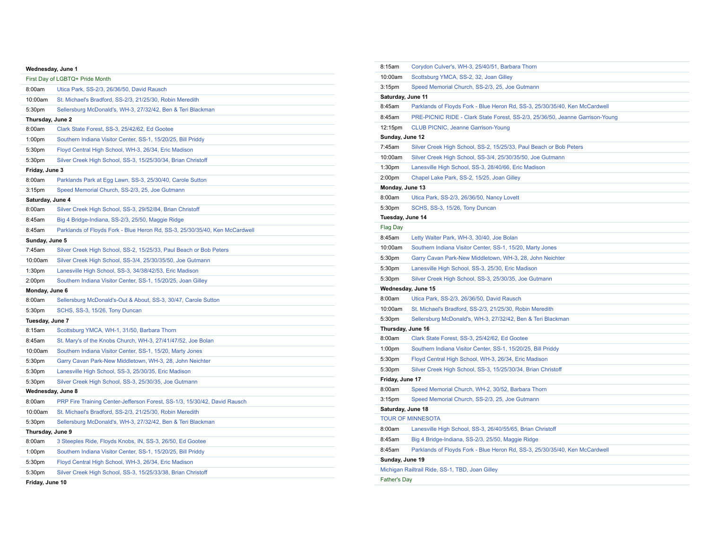## **Wednesday, June 1**

| First Day of LGBTQ+ Pride Month |                                                                             |  |  |
|---------------------------------|-----------------------------------------------------------------------------|--|--|
| 8:00am                          | Utica Park, SS-2/3, 26/36/50, David Rausch                                  |  |  |
| 10:00am                         | St. Michael's Bradford, SS-2/3, 21/25/30, Robin Meredith                    |  |  |
| 5:30pm                          | Sellersburg McDonald's, WH-3, 27/32/42, Ben & Teri Blackman                 |  |  |
| Thursday, June 2                |                                                                             |  |  |
| 8:00am                          | Clark State Forest, SS-3, 25/42/62, Ed Gootee                               |  |  |
| 1:00pm                          | Southern Indiana Visitor Center, SS-1, 15/20/25, Bill Priddy                |  |  |
| 5:30pm                          | Floyd Central High School, WH-3, 26/34, Eric Madison                        |  |  |
| 5:30pm                          | Silver Creek High School, SS-3, 15/25/30/34, Brian Christoff                |  |  |
| Friday, June 3                  |                                                                             |  |  |
| 8:00am                          | Parklands Park at Egg Lawn, SS-3, 25/30/40, Carole Sutton                   |  |  |
| 3:15 <sub>pm</sub>              | Speed Memorial Church, SS-2/3, 25, Joe Gutmann                              |  |  |
| Saturday, June 4                |                                                                             |  |  |
| 8:00am                          | Silver Creek High School, SS-3, 29/52/84, Brian Christoff                   |  |  |
| 8:45am                          | Big 4 Bridge-Indiana, SS-2/3, 25/50, Maggie Ridge                           |  |  |
| 8:45am                          | Parklands of Floyds Fork - Blue Heron Rd, SS-3, 25/30/35/40, Ken McCardwell |  |  |
| Sunday, June 5                  |                                                                             |  |  |
| 7:45am                          | Silver Creek High School, SS-2, 15/25/33, Paul Beach or Bob Peters          |  |  |
| 10:00am                         | Silver Creek High School, SS-3/4, 25/30/35/50, Joe Gutmann                  |  |  |
| 1:30 <sub>pm</sub>              | Lanesville High School, SS-3, 34/38/42/53, Eric Madison                     |  |  |
| 2:00pm                          | Southern Indiana Visitor Center, SS-1, 15/20/25, Joan Gilley                |  |  |
| Monday, June 6                  |                                                                             |  |  |
| 8:00am                          | Sellersburg McDonald's-Out & About, SS-3, 30/47, Carole Sutton              |  |  |
| 5:30pm                          | SCHS, SS-3, 15/26, Tony Duncan                                              |  |  |
| Tuesday, June 7                 |                                                                             |  |  |
| 8:15am                          | Scottsburg YMCA, WH-1, 31/50, Barbara Thorn                                 |  |  |
| 8:45am                          | St. Mary's of the Knobs Church, WH-3, 27/41/47/52, Joe Bolan                |  |  |
| 10:00am                         | Southern Indiana Visitor Center, SS-1, 15/20, Marty Jones                   |  |  |
| 5:30pm                          | Garry Cavan Park-New Middletown, WH-3, 28, John Neichter                    |  |  |
| 5:30pm                          | Lanesville High School, SS-3, 25/30/35, Eric Madison                        |  |  |
| 5:30pm                          | Silver Creek High School, SS-3, 25/30/35, Joe Gutmann                       |  |  |
| Wednesday, June 8               |                                                                             |  |  |
| 8:00am                          | PRP Fire Training Center-Jefferson Forest, SS-1/3, 15/30/42, David Rausch   |  |  |
| 10:00am                         | St. Michael's Bradford, SS-2/3, 21/25/30, Robin Meredith                    |  |  |
| 5:30pm                          | Sellersburg McDonald's, WH-3, 27/32/42, Ben & Teri Blackman                 |  |  |
| Thursday, June 9                |                                                                             |  |  |
| 8:00am                          | 3 Steeples Ride, Floyds Knobs, IN, SS-3, 26/50, Ed Gootee                   |  |  |
| 1:00 <sub>pm</sub>              | Southern Indiana Visitor Center, SS-1, 15/20/25, Bill Priddy                |  |  |
| 5:30pm                          | Floyd Central High School, WH-3, 26/34, Eric Madison                        |  |  |
| 5:30pm                          | Silver Creek High School, SS-3, 15/25/33/38, Brian Christoff                |  |  |
| Friday, June 10                 |                                                                             |  |  |

| 8:15am             | Corydon Culver's, WH-3, 25/40/51, Barbara Thorn                               |  |  |
|--------------------|-------------------------------------------------------------------------------|--|--|
| 10:00am            | Scottsburg YMCA, SS-2, 32, Joan Gilley                                        |  |  |
| 3:15 <sub>pm</sub> | Speed Memorial Church, SS-2/3, 25, Joe Gutmann                                |  |  |
| Saturday, June 11  |                                                                               |  |  |
| 8:45am             | Parklands of Floyds Fork - Blue Heron Rd, SS-3, 25/30/35/40, Ken McCardwell   |  |  |
| 8:45am             | PRE-PICNIC RIDE - Clark State Forest, SS-2/3, 25/36/50, Jeanne Garrison-Young |  |  |
| 12:15pm            | <b>CLUB PICNIC, Jeanne Garrison-Young</b>                                     |  |  |
| Sunday, June 12    |                                                                               |  |  |
| 7:45am             | Silver Creek High School, SS-2, 15/25/33, Paul Beach or Bob Peters            |  |  |
| 10:00am            | Silver Creek High School, SS-3/4, 25/30/35/50, Joe Gutmann                    |  |  |
| 1:30 <sub>pm</sub> | Lanesville High School, SS-3, 28/40/66, Eric Madison                          |  |  |
| 2:00pm             | Chapel Lake Park, SS-2, 15/25, Joan Gilley                                    |  |  |
| Monday, June 13    |                                                                               |  |  |
| 8:00am             | Utica Park, SS-2/3, 26/36/50, Nancy Lovett                                    |  |  |
| 5:30pm             | SCHS, SS-3, 15/26, Tony Duncan                                                |  |  |
| Tuesday, June 14   |                                                                               |  |  |
| <b>Flag Day</b>    |                                                                               |  |  |
| 8:45am             | Letty Walter Park, WH-3, 30/40, Joe Bolan                                     |  |  |
| 10:00am            | Southern Indiana Visitor Center, SS-1, 15/20, Marty Jones                     |  |  |
| 5:30pm             | Garry Cavan Park-New Middletown, WH-3, 28, John Neichter                      |  |  |
| 5:30pm             | Lanesville High School, SS-3, 25/30, Eric Madison                             |  |  |
| 5:30pm             | Silver Creek High School, SS-3, 25/30/35, Joe Gutmann                         |  |  |
| Wednesday, June 15 |                                                                               |  |  |
| 8:00am             | Utica Park, SS-2/3, 26/36/50, David Rausch                                    |  |  |
| 10:00am            | St. Michael's Bradford, SS-2/3, 21/25/30, Robin Meredith                      |  |  |
| 5:30pm             | Sellersburg McDonald's, WH-3, 27/32/42, Ben & Teri Blackman                   |  |  |
| Thursday, June 16  |                                                                               |  |  |
| 8:00am             | Clark State Forest, SS-3, 25/42/62, Ed Gootee                                 |  |  |
| 1:00 <sub>pm</sub> | Southern Indiana Visitor Center, SS-1, 15/20/25, Bill Priddy                  |  |  |
| 5:30pm             | Floyd Central High School, WH-3, 26/34, Eric Madison                          |  |  |
| 5:30pm             | Silver Creek High School, SS-3, 15/25/30/34, Brian Christoff                  |  |  |
| Friday, June 17    |                                                                               |  |  |
| 8:00am             | Speed Memorial Church, WH-2, 30/52, Barbara Thorn                             |  |  |
| 3:15 <sub>pm</sub> | Speed Memorial Church, SS-2/3, 25, Joe Gutmann                                |  |  |
| Saturday, June 18  |                                                                               |  |  |
|                    | <b>TOUR OF MINNESOTA</b>                                                      |  |  |
| 8:00am             | Lanesville High School, SS-3, 26/40/55/65, Brian Christoff                    |  |  |
| 8:45am             | Big 4 Bridge-Indiana, SS-2/3, 25/50, Maggie Ridge                             |  |  |
| 8:45am             | Parklands of Floyds Fork - Blue Heron Rd, SS-3, 25/30/35/40, Ken McCardwell   |  |  |
| Sunday, June 19    |                                                                               |  |  |
|                    |                                                                               |  |  |
|                    | Michigan Railtrail Ride, SS-1, TBD, Joan Gilley                               |  |  |